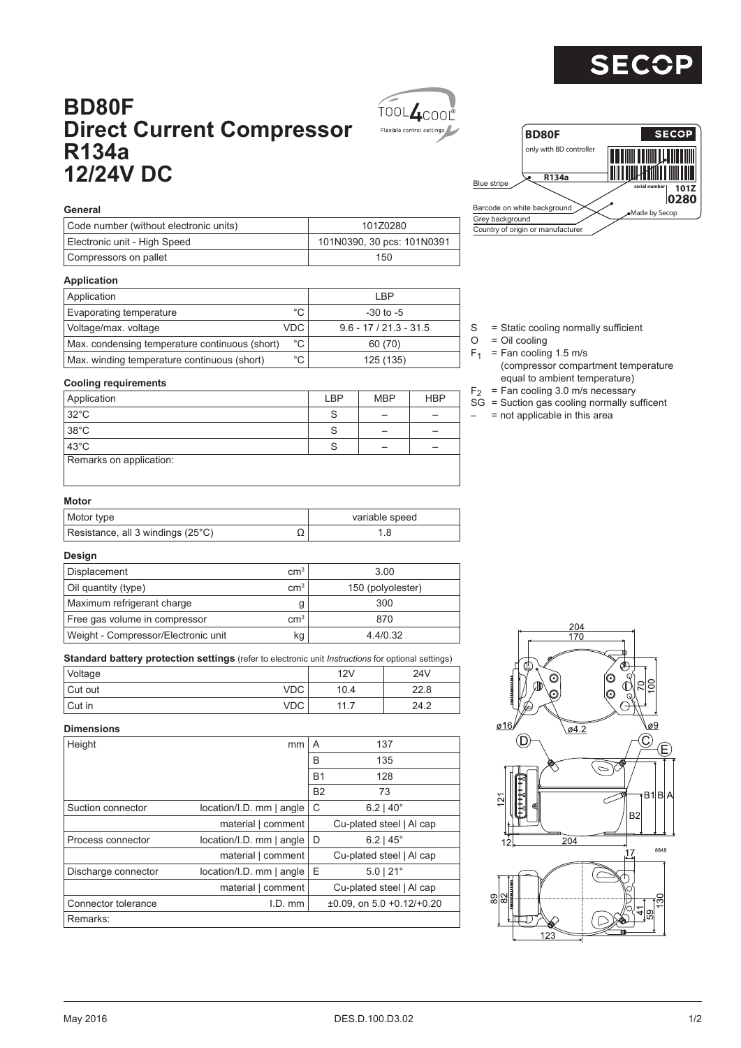

# **BD80F Direct Current Compressor R134a 12/24V DC**





# **General**

| Code number (without electronic units) | 101Z0280                   |
|----------------------------------------|----------------------------|
| Electronic unit - High Speed           | 101N0390, 30 pcs: 101N0391 |
| Compressors on pallet                  | 150                        |

#### **Application**

| Application                                    |              | I BP                     |
|------------------------------------------------|--------------|--------------------------|
| Evaporating temperature                        | $^{\circ}$ C | $-30$ to $-5$            |
| Voltage/max. voltage                           | <b>VDC</b>   | $9.6 - 17 / 21.3 - 31.5$ |
| Max. condensing temperature continuous (short) | $^{\circ}$ C | 60 (70)                  |
| Max. winding temperature continuous (short)    | $^{\circ}$ C | 125 (135)                |

#### S = Static cooling normally sufficient

- $O = Oil$  cooling
- $F_1$  = Fan cooling 1.5 m/s (compressor compartment temperature equal to ambient temperature)
- $F<sub>2</sub>$  = Fan cooling 3.0 m/s necessary
- $SG =$  Suction gas cooling normally sufficent
- $-$  = not applicable in this area

### **Cooling requirements**

| Application             | <b>LBP</b> | <b>MBP</b> | <b>HBP</b> |
|-------------------------|------------|------------|------------|
| $32^{\circ}$ C          | S          |            |            |
| 38°C                    | S          |            |            |
| $43^{\circ}$ C          | S          |            |            |
| Remarks on application: |            |            |            |
|                         |            |            |            |

## **Motor**

| Motor type                        |    | variable speed |
|-----------------------------------|----|----------------|
| Resistance, all 3 windings (25°C) | ∸∸ |                |

#### **Design**

| Displacement                        | $\rm cm^{3}$    | 3.00              |
|-------------------------------------|-----------------|-------------------|
| Oil quantity (type)                 | $\rm cm^{3}$    | 150 (polyolester) |
| Maximum refrigerant charge          | g               | 300               |
| Free gas volume in compressor       | cm <sup>3</sup> | 870               |
| Weight - Compressor/Electronic unit | kg              | 4.4/0.32          |

**Standard battery protection settings** (refer to electronic unit *Instructions* for optional settings)

| Voltage |     | 12V  | 24 <sub>V</sub> |
|---------|-----|------|-----------------|
| Cut out | VDC | 10.4 | 22.8            |
| Cut in  | VDC | 11   | 24.2            |

### **Dimensions**

| Height              | mm                          | A         | 137                                     |
|---------------------|-----------------------------|-----------|-----------------------------------------|
|                     |                             | B         | 135                                     |
|                     |                             | <b>B1</b> | 128                                     |
|                     |                             | <b>B2</b> | 73                                      |
| Suction connector   | location/I.D. mm   angle    | С         | $6.2$   40 $^{\circ}$                   |
|                     | material   comment          |           | Cu-plated steel   Al cap                |
| Process connector   | location/I.D. mm   angle    | D         | $6.2$   45 $^{\circ}$                   |
|                     | material   comment          |           | Cu-plated steel   Al cap                |
| Discharge connector | $location/I.D.$ mm $ angle$ | Ε         | $5.0$   21 $^{\circ}$                   |
|                     | material   comment          |           | Cu-plated steel   Al cap                |
| Connector tolerance | $I.D.$ mm                   |           | $\pm 0.09$ , on 5.0 $\pm 0.12/\pm 0.20$ |
| Remarks:            |                             |           |                                         |